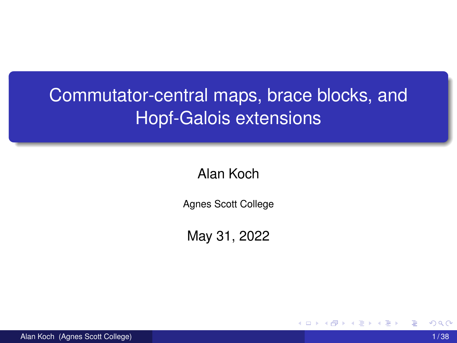# Commutator-central maps, brace blocks, and Hopf-Galois extensions

Alan Koch

Agnes Scott College

May 31, 2022

4 0 8 1

Alan Koch (Agnes Scott College) 1 / 38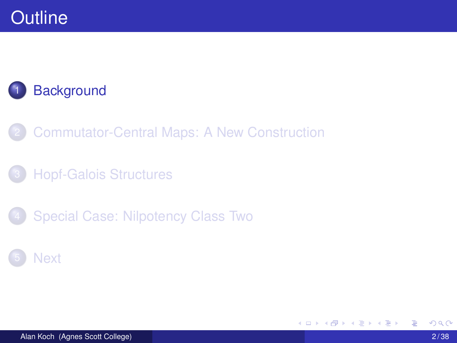### **Background**

- 2 Commutator-Central Maps: A New Construction
- **Hopf-Galois Structures**
- Special Case: Nilpotency Class Two

#### **Next**

4 0 8

⊀ 御 ⊁ ∢ 唐 ⊁ ∢ 唐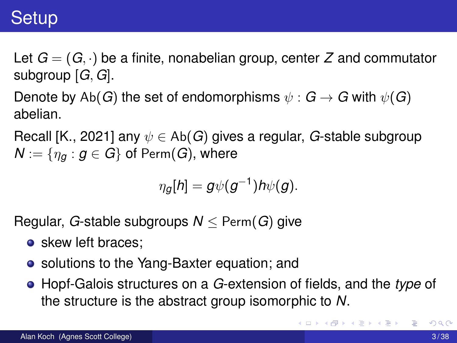### **Setup**

Let  $G = (G, \cdot)$  be a finite, nonabelian group, center Z and commutator subgroup [*G, G*].

Denote by Ab(*G*) the set of endomorphisms  $\psi : G \rightarrow G$  with  $\psi(G)$ abelian.

Recall [K., 2021] any  $\psi \in Ab(G)$  gives a regular, *G*-stable subgroup  $N := \{ \eta_a : g \in G \}$  of Perm(*G*), where

$$
\eta_g[h] = g\psi(g^{-1})h\psi(g).
$$

Regular, *G*-stable subgroups  $N <$  Perm(*G*) give

- skew left braces:
- solutions to the Yang-Baxter equation; and
- Hopf-Galois structures on a *G*-extension of fields, and the *type* of the structure is the abstract group isomorphic to *N*.

K ロ ▶ K 御 ▶ K 君 ▶ K 君 ▶ ...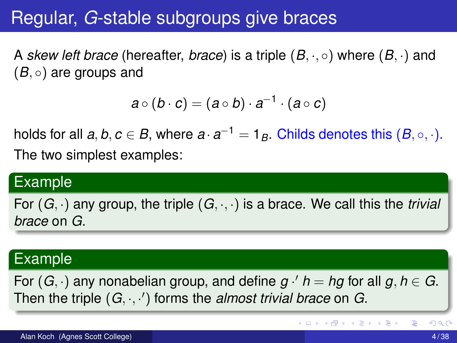### Regular, *G*-stable subgroups give braces

A *skew left brace* (hereafter, *brace*) is a triple (*B, ·,* ) where (*B, ·*) and (*B,* ) are groups and

$$
a\circ (b\cdot c)=(a\circ b)\cdot a^{-1}\cdot (a\circ c)
$$

holds for all  $a, b, c \in B$ , where  $a \cdot a^{-1} = 1_B$ . Childs denotes this  $(B, \circ, \cdot)$ . The two simplest examples:

#### Example

For  $(G, \cdot)$  any group, the triple  $(G, \cdot, \cdot)$  is a brace. We call this the *trivial brace* on *G*.

#### Example

For  $(G, \cdot)$  any nonabelian group, and define  $g \cdot' h = hg$  for all  $g, h \in G$ . Then the triple (*G, ·, ·* 0 ) forms the *almost trivial brace* on *G*.

K ロ ⊁ K 倒 ≯ K 君 ⊁ K 君 ⊁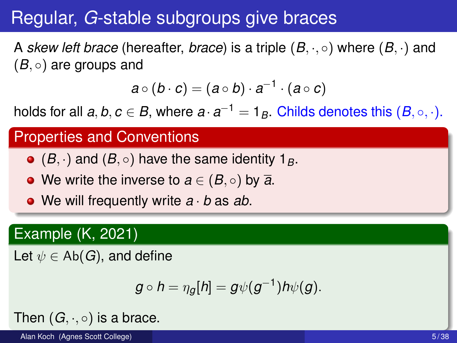## Regular, *G*-stable subgroups give braces

A *skew left brace* (hereafter, *brace*) is a triple (*B, ·,* ) where (*B, ·*) and (*B,* ) are groups and

$$
a\circ (b\cdot c)=(a\circ b)\cdot a^{-1}\cdot (a\circ c)
$$

holds for all  $a, b, c \in B$ , where  $a \cdot a^{-1} = 1_B$ . Childs denotes this  $(B, \circ, \cdot)$ .

#### Properties and Conventions

- $\bullet$  (*B*, ·) and (*B*,  $\circ$ ) have the same identity 1<sub>*B*</sub>.
- $\bullet$  We write the inverse to  $a \in (B, \circ)$  by  $\overline{a}$ .
- We will frequently write *a · b* as *ab*.

#### Example (K, 2021)

Let  $\psi \in Ab(G)$ , and define

$$
g\circ h=\eta_g[h]=g\psi(g^{-1})h\psi(g).
$$

Then  $(G, \cdot, \circ)$  is a brace.

Alan Koch (Agnes Scott College) 5 / 38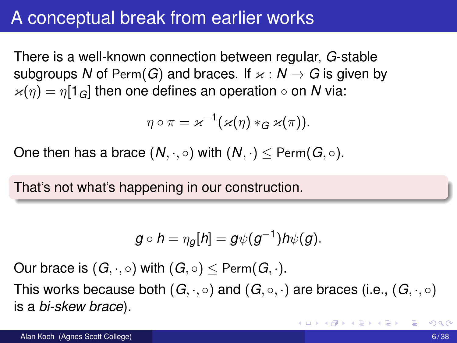### A conceptual break from earlier works

There is a well-known connection between regular, *G*-stable subgroups N of Perm(G) and braces. If  $x : N \to G$  is given by  $x(n) = n[1_G]$  then one defines an operation  $\circ$  on *N* via:

$$
\eta\circ\pi=\varkappa^{-1}(\varkappa(\eta)*_{G}\varkappa(\pi)).
$$

One then has a brace  $(N, \cdot, \circ)$  with  $(N, \cdot) <$  Perm $(G, \circ)$ .

That's not what's happening in our construction.

$$
g\circ h=\eta_g[h]=g\psi(g^{-1})h\psi(g).
$$

Our brace is  $(G, \cdot, \circ)$  with  $(G, \circ) \leq$  Perm $(G, \cdot)$ .

This works because both  $(G, \cdot, \circ)$  and  $(G, \circ, \cdot)$  are braces (i.e.,  $(G, \cdot, \circ)$ ) is a *bi-skew brace*).

イロト イ押 トイラト イラトー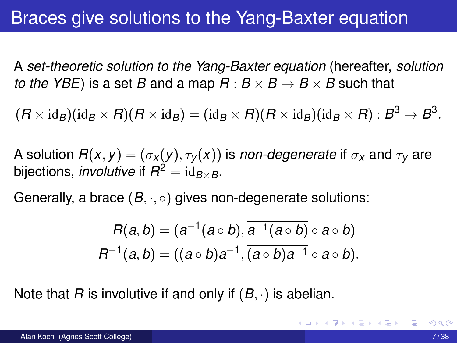### Braces give solutions to the Yang-Baxter equation

A *set-theoretic solution to the Yang-Baxter equation* (hereafter, *solution to the YBE*) is a set *B* and a map  $R : B \times B \rightarrow B \times B$  such that

 $(R \times id_B)(id_B \times R)(R \times id_B) = (id_B \times R)(R \times id_B)(id_B \times R) : B^3 \rightarrow B^3.$ 

A solution  $R(x, y) = (\sigma_x(y), \tau_y(x))$  is *non-degenerate* if  $\sigma_x$  and  $\tau_y$  are bijections, *involutive* if  $R^2 = id_{B \times B}$ .

Generally, a brace (*B, ·,* ) gives non-degenerate solutions:

$$
R(a,b)=(a^{-1}(a\circ b),\overline{a^{-1}(a\circ b)}\circ a\circ b)
$$
  

$$
R^{-1}(a,b)=((a\circ b)a^{-1},\overline{(a\circ b)a^{-1}}\circ a\circ b).
$$

Note that *R* is involutive if and only if (*B, ·*) is abelian.

イロト イ押ト イヨト イヨトー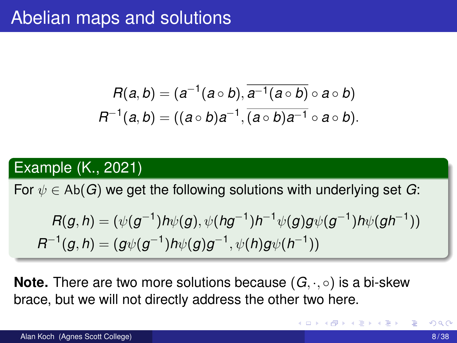$$
R(a,b) = (a^{-1}(a \circ b), \overline{a^{-1}(a \circ b)} \circ a \circ b)
$$
  

$$
R^{-1}(a,b) = ((a \circ b)a^{-1}, \overline{(a \circ b)a^{-1}} \circ a \circ b).
$$

#### Example (K., 2021)

For  $\psi \in Ab(G)$  we get the following solutions with underlying set G:

$$
R(g,h) = (\psi(g^{-1})h\psi(g), \psi(hg^{-1})h^{-1}\psi(g)g\psi(g^{-1})h\psi(gh^{-1}))
$$
  

$$
R^{-1}(g,h) = (g\psi(g^{-1})h\psi(g)g^{-1}, \psi(h)g\psi(h^{-1}))
$$

**Note.** There are two more solutions because  $(G, \cdot, \circ)$  is a bi-skew brace, but we will not directly address the other two here.

**4 ロト 4 何 ト 4 重 ト**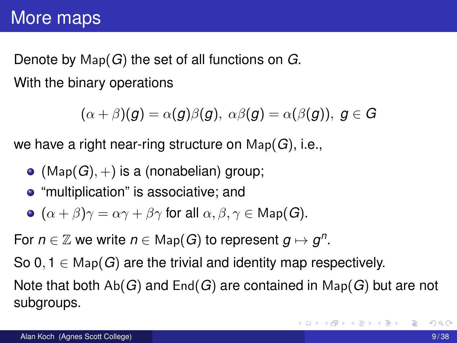Denote by Map(*G*) the set of all functions on *G*. With the binary operations

 $(\alpha + \beta)(q) = \alpha(q)\beta(q), \ \alpha\beta(q) = \alpha(\beta(q)), \ q \in G$ 

we have a right near-ring structure on Map(*G*), i.e.,

- $\bullet$  (Map( $G$ ),  $+$ ) is a (nonabelian) group;
- "multiplication" is associative; and
- $\bullet$   $(\alpha + \beta)\gamma = \alpha\gamma + \beta\gamma$  for all  $\alpha, \beta, \gamma \in \text{Map}(G)$ .

For  $n \in \mathbb{Z}$  we write  $n \in \mathbb{M}$  ap(*G*) to represent  $q \mapsto q^n$ .

So 0, 1  $\in$  Map(*G*) are the trivial and identity map respectively. Note that both Ab(*G*) and End(*G*) are contained in Map(*G*) but are not subgroups.

в

K ロ ⊁ K 御 ⊁ K 君 ⊁ K 君 ⊁ …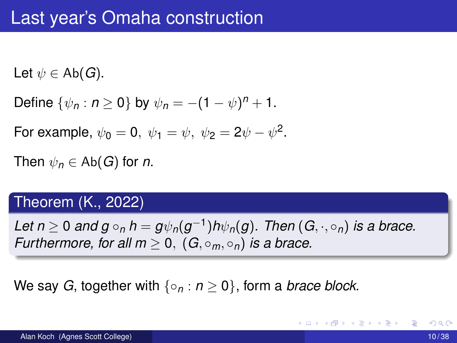Let  $\psi \in \mathsf{Ab}(G)$ .

Define  $\{\psi_n : n > 0\}$  by  $\psi_n = -(1 - \psi)^n + 1$ .

For example,  $\psi_0 = 0$ ,  $\psi_1 = \psi$ ,  $\psi_2 = 2\psi - \psi^2$ .

Then  $\psi_n \in Ab(G)$  for *n*.

#### Theorem (K., 2022)

*Let*  $n \geq 0$  *and*  $g \circ_n h = g \psi_n(g^{-1}) h \psi_n(g)$ . Then  $(G, \cdot, \circ_n)$  is a brace. *Furthermore, for all m*  $> 0$ ,  $(G, \circ_m, \circ_n)$  *is a brace.* 

We say *G*, together with  $\{o_n : n \geq 0\}$ , form a *brace block*.

K ロ ▶ K 御 ▶ K 君 ▶ K 君 ▶ ..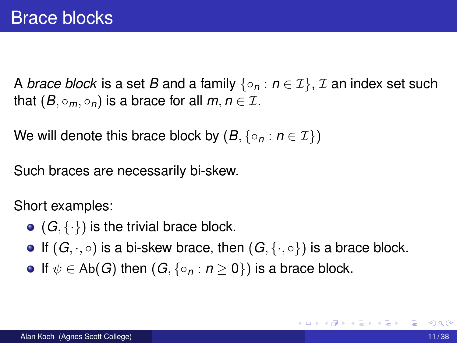A *brace block* is a set *B* and a family  $\{o_n : n \in \mathcal{I}\}\$ , *I* an index set such that  $(B, \circ_m, \circ_n)$  is a brace for all  $m, n \in \mathcal{I}$ .

We will denote this brace block by  $(B, \{ \circ_n : n \in \mathcal{I} \})$ 

Such braces are necessarily bi-skew.

Short examples:

- $\bullet$  ( $G$ ,  $\{\cdot\}$ ) is the trivial brace block.
- $\bullet$  If  $(G, \cdot, \circ)$  is a bi-skew brace, then  $(G, \{\cdot, \circ\})$  is a brace block.
- If  $\psi \in Ab(G)$  then  $(G, \{ \circ_n : n \geq 0 \})$  is a brace block.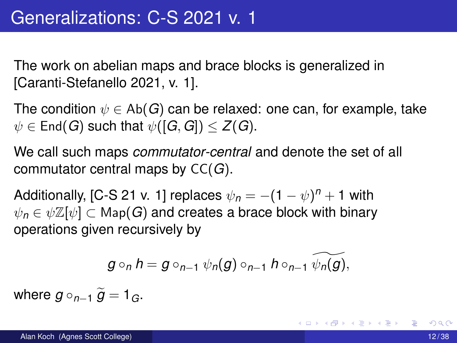The work on abelian maps and brace blocks is generalized in [Caranti-Stefanello 2021, v. 1].

The condition  $\psi \in \mathsf{Ab}(G)$  can be relaxed: one can, for example, take  $\psi \in$  End(*G*) such that  $\psi([G, G]) \leq Z(G)$ .

We call such maps *commutator-central* and denote the set of all commutator central maps by CC(*G*).

Additionally, [C-S 21 v. 1] replaces  $\psi_n = -(1 - \psi)^n + 1$  with  $\psi_n \in \psi \mathbb{Z}[\psi] \subset \mathsf{Map}(G)$  and creates a brace block with binary operations given recursively by

$$
g\circ_n h=g\circ_{n-1}\psi_n(g)\circ_{n-1}h\circ_{n-1}\widetilde{\psi_n(g)},
$$

where  $g \circ_{n-1} \widetilde{g} = 1_G$ .

K ロ ▶ K 御 ▶ K 君 ▶ K 君 ▶ ...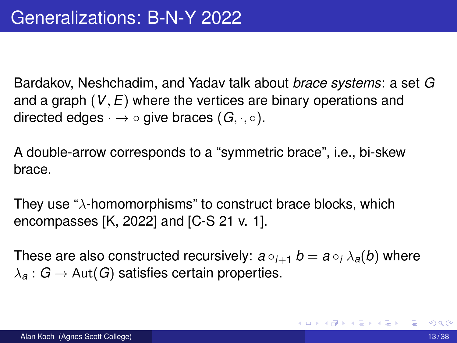Bardakov, Neshchadim, and Yadav talk about *brace systems*: a set *G* and a graph (*V, E*) where the vertices are binary operations and directed edges  $\cdot \rightarrow \circ$  give braces  $(G, \cdot, \circ)$ .

A double-arrow corresponds to a "symmetric brace", i.e., bi-skew brace.

They use " $\lambda$ -homomorphisms" to construct brace blocks, which encompasses [K, 2022] and [C-S 21 v. 1].

These are also constructed recursively:  $a \circ_{i+1} b = a \circ_i \lambda_a(b)$  where  $\lambda_{\mathcal{A}}: G \to \text{Aut}(G)$  satisfies certain properties.

( ロ ) ( *同* ) ( ヨ ) ( ヨ ) (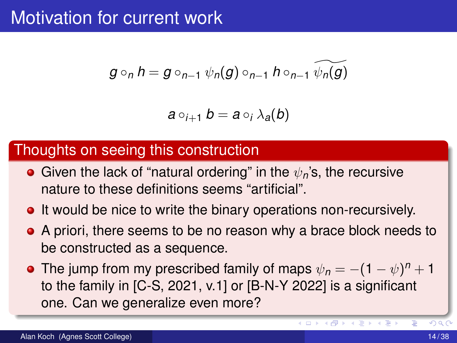### Motivation for current work

$$
g\circ_n h=g\circ_{n-1}\psi_n(g)\circ_{n-1}h\circ_{n-1}\psi_n(g)
$$

$$
a\circ_{i+1}b=a\circ_i\lambda_a(b)
$$

#### Thoughts on seeing this construction

- **•** Given the lack of "natural ordering" in the  $\psi_n$ 's, the recursive nature to these definitions seems "artificial".
- **It would be nice to write the binary operations non-recursively.**
- A priori, there seems to be no reason why a brace block needs to be constructed as a sequence.
- The jump from my prescribed family of maps  $\psi_n = -(1 \psi)^n + 1$ to the family in [C-S, 2021, v.1] or [B-N-Y 2022] is a significant one. Can we generalize even more?

イロト イ押ト イラト イラト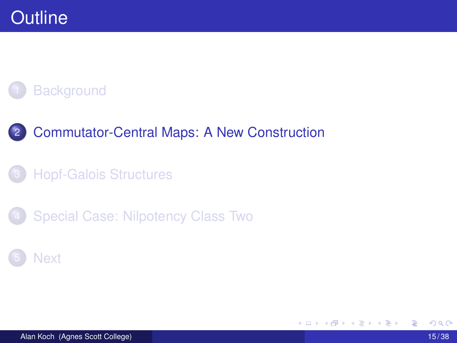### **Background**

#### 2 Commutator-Central Maps: A New Construction

#### **Hopf-Galois Structures**

Special Case: Nilpotency Class Two

#### **Next**

4 0 8

⊀ 御 ⊁ ∢ 唐 ⊁ ∢ 唐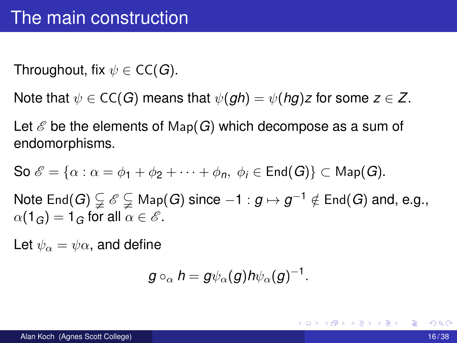Throughout, fix  $\psi \in CC(G)$ .

Note that  $\psi \in CC(G)$  means that  $\psi(gh) = \psi(hg)z$  for some  $z \in Z$ .

Let  $\mathscr E$  be the elements of Map( $G$ ) which decompose as a sum of endomorphisms.

So  $\mathscr{E} = {\alpha : \alpha = \phi_1 + \phi_2 + \cdots + \phi_n, \ \phi_i \in \mathsf{End}(G)} \subset \mathsf{Map}(G)$ .

Note End(*G*)  $\subsetneq$   $\mathscr{E} \subsetneq$  Map(*G*) since  $-1 : g \mapsto g^{-1} \notin$  End(*G*) and, e.g.,  $\alpha(1_G) = 1_G$  for all  $\alpha \in \mathscr{E}$ .

Let  $\psi_{\alpha} = \psi_{\alpha}$ , and define

$$
g\circ_{\alpha}h=g\psi_{\alpha}(g)h\psi_{\alpha}(g)^{-1}.
$$

K ロ ▶ K 御 ▶ K 君 ▶ K 君 ▶ ...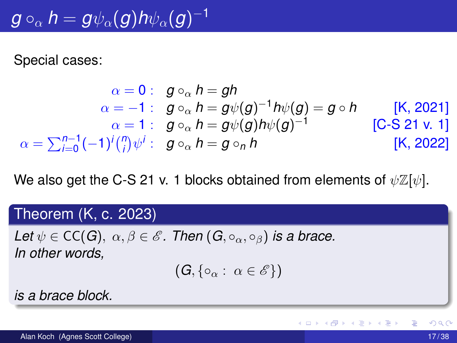# $g\circ_{\alpha} h = g\psi_{\alpha}(g)h\psi_{\alpha}(g)^{-1}$

Special cases:

$$
\alpha = 0: \quad g \circ_{\alpha} h = gh
$$
\n
$$
\alpha = -1: \quad g \circ_{\alpha} h = g\psi(g)^{-1}h\psi(g) = g \circ h \qquad \text{[K, 2021]}
$$
\n
$$
\alpha = 1: \quad g \circ_{\alpha} h = g\psi(g)h\psi(g)^{-1} \qquad \text{[C-S 21 v. 1]}
$$
\n
$$
\alpha = \sum_{i=0}^{n-1} (-1)^i {n \choose i} \psi^i: \quad g \circ_{\alpha} h = g \circ_{n} h \qquad \text{[K, 2022]}
$$

We also get the C-S 21 v. 1 blocks obtained from elements of  $\psi \mathbb{Z}[\psi]$ .

#### Theorem (K, c. 2023)

*Let*  $\psi \in CC(G)$ ,  $\alpha, \beta \in \mathscr{E}$ . Then  $(G, \circ_{\alpha}, \circ_{\beta})$  is a brace. *In other words,*

 $(G, \{o_{\alpha} : \alpha \in \mathscr{E}\})$ 

*is a brace block.*

イロト イ押ト イヨト イヨ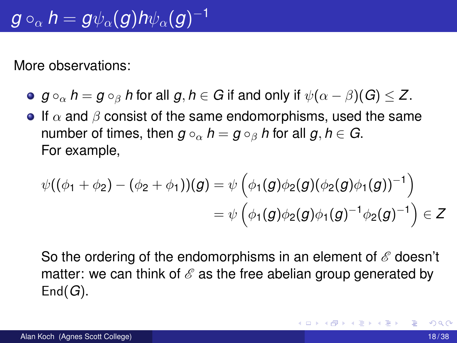More observations:

- $g \circ_{\alpha} h = g \circ_{\beta} h$  for all  $g, h \in G$  if and only if  $\psi(\alpha \beta)(G) \leq Z$ .
- If  $\alpha$  and  $\beta$  consist of the same endomorphisms, used the same number of times, then  $g \circ_{\alpha} h = g \circ_{\beta} h$  for all  $g, h \in G$ . For example,

$$
\begin{aligned} \psi((\phi_1 + \phi_2) - (\phi_2 + \phi_1)) (g) & = \psi \left( \phi_1(g) \phi_2(g) (\phi_2(g) \phi_1(g))^{-1} \right) \\ & = \psi \left( \phi_1(g) \phi_2(g) \phi_1(g)^{-1} \phi_2(g)^{-1} \right) \in Z \end{aligned}
$$

So the ordering of the endomorphisms in an element of *E* doesn't matter: we can think of  $\mathscr E$  as the free abelian group generated by End(*G*).

K 御 ⊁ K 君 ⊁ K 君 ⊁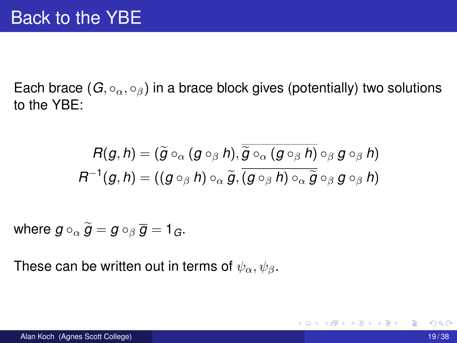Each brace  $(G, \circ_{\alpha}, \circ_{\beta})$  in a brace block gives (potentially) two solutions to the YBE:

$$
R(g, h) = (\widetilde{g} \circ_{\alpha} (g \circ_{\beta} h), \overline{\widetilde{g} \circ_{\alpha} (g \circ_{\beta} h)} \circ_{\beta} g \circ_{\beta} h)
$$

$$
R^{-1}(g, h) = ((g \circ_{\beta} h) \circ_{\alpha} \widetilde{g}, \overline{(g \circ_{\beta} h) \circ_{\alpha} \widetilde{g}} \circ_{\beta} g \circ_{\beta} h)
$$

where  $g \circ_{\alpha} \widetilde{g} = g \circ_{\beta} \overline{g} = 1_G$ .

These can be written out in terms of  $\psi_{\alpha}, \psi_{\beta}$ .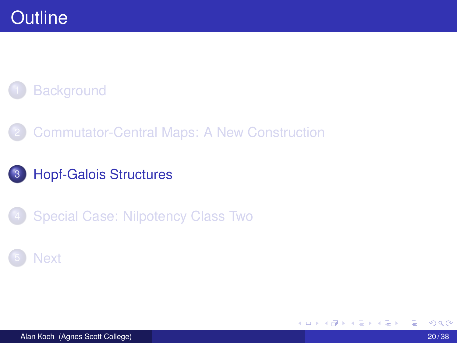### **Background**

2 Commutator-Central Maps: A New Construction

#### 3 Hopf-Galois Structures

Special Case: Nilpotency Class Two

#### **Next**

Alan Koch (Agnes Scott College) 20 / 38

4 0 8

⊀ 御 ⊁ ∢ 唐 ⊁ ∢ 唐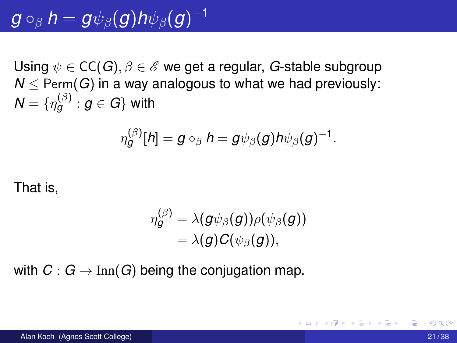# $g\circ_{\beta} h = \overline{g\psi_{\beta}(g)}h\psi_{\beta}(g)^{-1}$

Using  $\psi \in CC(G), \beta \in \mathscr{E}$  we get a regular, *G*-stable subgroup  $N$  < Perm(*G*) in a way analogous to what we had previously:  $\mathcal{N} = \{ \eta_{\boldsymbol{g}}^{(\beta)} : \boldsymbol{g} \in G \}$  with

$$
\eta_g^{(\beta)}[h] = g \circ_{\beta} h = g \psi_{\beta}(g) h \psi_{\beta}(g)^{-1}.
$$

That is,

$$
\begin{aligned} \eta^{(\beta)}_{{\boldsymbol{g}}} &= \lambda({\boldsymbol{g}}\psi_{\beta}({\boldsymbol{g}}))\rho(\psi_{\beta}({\boldsymbol{g}})) \\ &= \lambda({\boldsymbol{g}})C(\psi_{\beta}({\boldsymbol{g}})), \end{aligned}
$$

with  $C: G \to \text{Inn}(G)$  being the conjugation map.

イタト イミト イミトー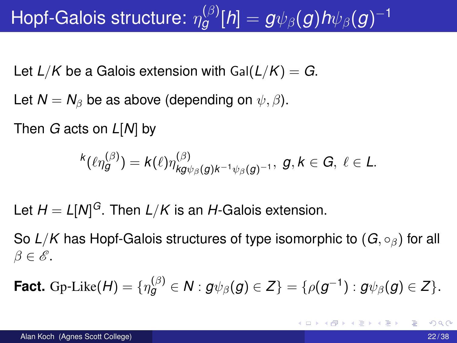# Hopf-Galois structure:  $\eta_g^{(\beta)}[h] = g \psi_\beta(g) h \psi_\beta(g)^{-1}$

Let  $L/K$  be a Galois extension with  $Gal(L/K) = G$ .

Let  $N = N_\beta$  be as above (depending on  $\psi, \beta$ ).

Then *G* acts on *L*[*N*] by

$$
\kappa(\ell\eta_g^{(\beta)})=k(\ell)\eta_{kg\psi_\beta(g)k^{-1}\psi_\beta(g)^{-1}}^{(\beta)},\ g,k\in G,\ \ell\in L.
$$

Let *H* = *L*[*N*] *<sup>G</sup>*. Then *L/K* is an *H*-Galois extension.

So  $L/K$  has Hopf-Galois structures of type isomorphic to  $(G, \circ_{\beta})$  for all  $\beta \in \mathscr{E}$ .

**Fact.** Gp-Like $(H) = \{ \eta_g^{(\beta)} \in \mathcal{N} : g \psi_\beta(g) \in Z \} = \{ \rho(g^{-1}) : g \psi_\beta(g) \in Z \}.$ 

K ロ ト K 個 ト K 君 ト K 君 ト 一君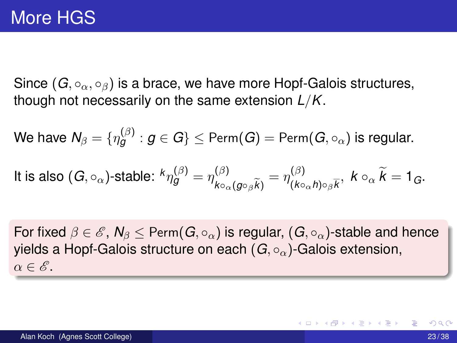Since  $(G, \circ_{\alpha}, \circ_{\beta})$  is a brace, we have more Hopf-Galois structures, though not necessarily on the same extension *L/K*.

 $\mathsf{W}\mathsf{e}$  have  $\mathsf{N}_\beta = \{\eta^{(\beta)}_{{\boldsymbol{g}}} : {\boldsymbol{g}}\in G\}\leq \mathsf{Perm}({\boldsymbol{G}}) = \mathsf{Perm}({\boldsymbol{G}},\circ_\alpha)$  is regular.

It is also 
$$
(G, \circ_{\alpha})
$$
-stable:  ${}^k\eta_g^{(\beta)} = \eta_{k\circ_{\alpha}(g\circ_{\beta}\widetilde{k})}^{(\beta)} = \eta_{(k\circ_{\alpha}h)\circ_{\beta}\overline{k}}^{(\beta)}, k\circ_{\alpha}\widetilde{k} = 1_G.$ 

For fixed  $\beta \in \mathscr{E}$ ,  $N_{\beta} \leq$  Perm $(G, \circ_{\alpha})$  is regular,  $(G, \circ_{\alpha})$ -stable and hence yields a Hopf-Galois structure on each  $(G, \circ_{\alpha})$ -Galois extension,  $\alpha \in \mathscr{E}$ .

K 御 ⊁ K 君 ⊁ K 君 ⊁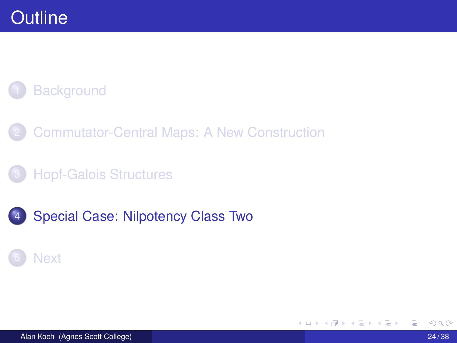### **Background**

- 2 Commutator-Central Maps: A New Construction
- **Hopf-Galois Structures**
- Special Case: Nilpotency Class Two

#### **Next**

4 0 8

 $\leftarrow$   $\leftarrow$   $\leftarrow$ 

. . . . . .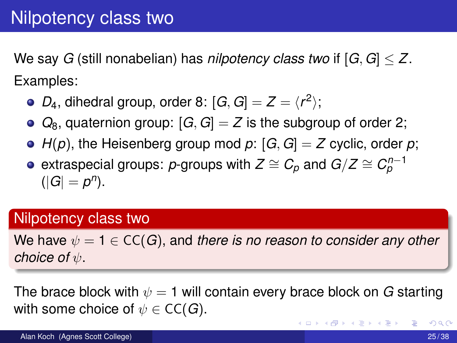We say *G* (still nonabelian) has *nilpotency class two* if [*G, G*] *Z*. Examples:

- $D_4$ , dihedral group, order 8:  $[G, G] = Z = \langle r^2 \rangle$ ;
- $Q_8$ , quaternion group:  $[G, G] = Z$  is the subgroup of order 2;
- $H(p)$ , the Heisenberg group mod  $p: [G, G] = Z$  cyclic, order  $p$ ;
- extraspecial groups:  $p$ -groups with  $Z \cong C_p$  and  $G/Z \cong C_p^{n-1}$  $(|G| = p^n).$

#### Nilpotency class two

We have  $\psi = 1 \in CC(G)$ , and *there is no reason to consider any other choice of*  $\psi$ .

The brace block with  $\psi = 1$  will contain every brace block on *G* starting with some choice of  $\psi \in \mathsf{CC}(G)$ .

イロトメ 倒 トメ 差 トメ 差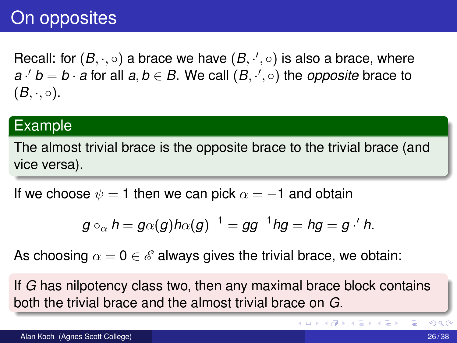### On opposites

Recall: for  $(B, \cdot, \circ)$  a brace we have  $(B, \cdot', \circ)$  is also a brace, where  $a \cdot 'b = b \cdot a$  for all  $a, b \in B$ . We call  $(B, \cdot', \circ)$  the *opposite* brace to  $(B, \cdot, \circ).$ 

#### Example

The almost trivial brace is the opposite brace to the trivial brace (and vice versa).

If we choose  $\psi = 1$  then we can pick  $\alpha = -1$  and obtain

$$
g\circ_{\alpha}h=g\alpha(g)h\alpha(g)^{-1}=gg^{-1}hg=hg=g\cdot'h.
$$

As choosing  $\alpha = 0 \in \mathscr{E}$  always gives the trivial brace, we obtain:

If *G* has nilpotency class two, then any maximal brace block contains both the trivial brace and the almost trivial brace on *G*.

Þ

イロト イ押ト イヨト イヨト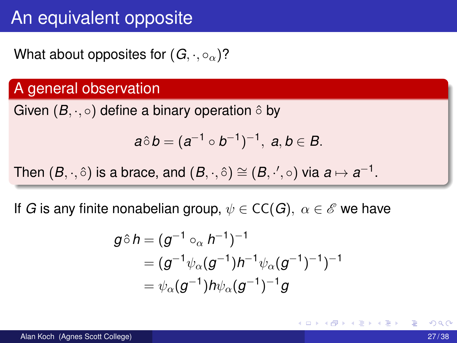### An equivalent opposite

What about opposites for  $(G, \cdot, \circ_{\alpha})$ ?

#### A general observation

Given  $(B, \cdot, \circ)$  define a binary operation  $\circ$  by

$$
a\hat{\circ} b=(a^{-1}\circ b^{-1})^{-1},\ a,b\in B.
$$

Then  $(B, \cdot, \hat{\circ})$  is a brace, and  $(B, \cdot, \hat{\circ}) \cong (B, \cdot', \circ)$  via  $a \mapsto a^{-1}$ .

If *G* is any finite nonabelian group,  $\psi \in CC(G)$ ,  $\alpha \in \mathcal{E}$  we have

$$
\begin{aligned} g \hat{\circ} \, h & = (g^{-1} \circ_{\alpha} h^{-1})^{-1} \\ & = (g^{-1} \psi_{\alpha} (g^{-1}) h^{-1} \psi_{\alpha} (g^{-1})^{-1})^{-1} \\ & = \psi_{\alpha} (g^{-1}) h \psi_{\alpha} (g^{-1})^{-1} g \end{aligned}
$$

イロト イ押ト イヨト イヨ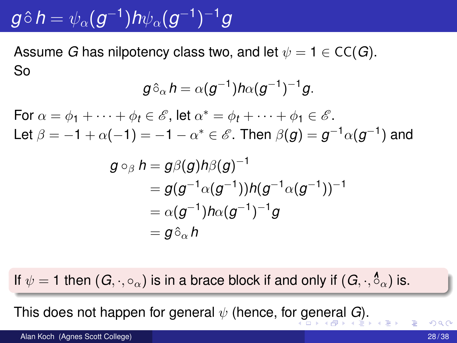# $g \hat{\circ} h = \psi_{\alpha}(g^{-1}) h \psi_{\alpha}(g^{-1})^{-1} g$

Assume *G* has nilpotency class two, and let  $\psi = 1 \in CC(G)$ . So

$$
g\hat{\circ}_{\alpha}h=\alpha(g^{-1})h\alpha(g^{-1})^{-1}g.
$$

For  $\alpha = \phi_1 + \cdots + \phi_t \in \mathscr{E}$ , let  $\alpha^* = \phi_t + \cdots + \phi_1 \in \mathscr{E}$ . Let  $\beta = -1 + \alpha(-1) = -1 - \alpha^* \in \mathcal{E}$ . Then  $\beta(q) = q^{-1}\alpha(q^{-1})$  and

$$
\begin{aligned} g\circ_\beta h&=g\beta(g)h\beta(g)^{-1}\\ &=g(g^{-1}\alpha(g^{-1}))h(g^{-1}\alpha(g^{-1}))^{-1}\\ &=\alpha(g^{-1})h\alpha(g^{-1})^{-1}g\\ &=g\hat{\circ}_\alpha h\end{aligned}
$$

If  $\psi = 1$  then  $(G, \cdot, \circ_{\alpha})$  is in a brace block if and only if  $(G, \cdot, \overset{\mathbf{6}}{\circ}_{\alpha})$  is.

This does not happen for general  $\psi$  (hence, for general *G*).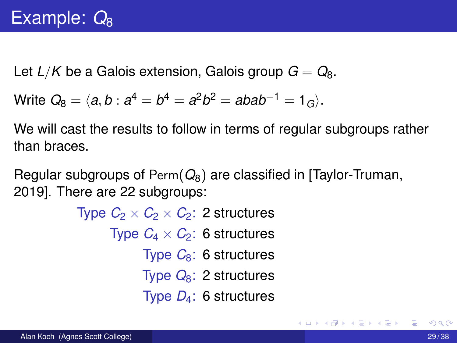Let  $L/K$  be a Galois extension, Galois group  $G = Q_8$ .

Write 
$$
Q_8 = \langle a, b : a^4 = b^4 = a^2b^2 = abab^{-1} = 1_G \rangle
$$
.

We will cast the results to follow in terms of regular subgroups rather than braces.

Regular subgroups of Perm(*Q*8) are classified in [Taylor-Truman, 2019]. There are 22 subgroups:

> Type  $C_2 \times C_2 \times C_2$ : 2 structures Type  $C_4 \times C_2$ : 6 structures Type *C*8: 6 structures Type *Q*8: 2 structures Type *D*4: 6 structures

 $\mathcal{A}$   $\overline{\mathcal{B}}$   $\rightarrow$   $\mathcal{A}$   $\overline{\mathcal{B}}$   $\rightarrow$   $\mathcal{A}$   $\overline{\mathcal{B}}$   $\rightarrow$   $\mathcal{B}$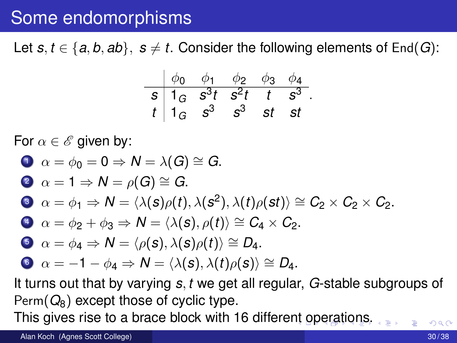### Some endomorphisms

Let  $s, t \in \{a, b, ab\}, s \neq t$ . Consider the following elements of End(*G*):

$$
\begin{array}{c|cccc}\n\phi_0 & \phi_1 & \phi_2 & \phi_3 & \phi_4 \\
\hline\ns & 1_G & s^3t & s^2t & t & s^3 \\
t & 1_G & s^3 & s^3 & st & st\n\end{array}
$$

*.*

For  $\alpha \in \mathscr{E}$  given by:

\n- \n
$$
\alpha = \phi_0 = 0 \Rightarrow N = \lambda(G) \cong G.
$$
\n
\n- \n $\alpha = 1 \Rightarrow N = \rho(G) \cong G.$ \n
\n- \n $\alpha = \phi_1 \Rightarrow N = \langle \lambda(s)\rho(t), \lambda(s^2), \lambda(t)\rho(st) \rangle \cong C_2 \times C_2 \times C_2.$ \n
\n- \n $\alpha = \phi_2 + \phi_3 \Rightarrow N = \langle \lambda(s), \rho(t) \rangle \cong C_4 \times C_2.$ \n
\n- \n $\alpha = \phi_4 \Rightarrow N = \langle \rho(s), \lambda(s)\rho(t) \rangle \cong D_4.$ \n
\n- \n $\alpha = -1 - \phi_4 \Rightarrow N = \langle \lambda(s), \lambda(t)\rho(s) \rangle \cong D_4.$ \n
\n

It turns out that by varying *s, t* we get all regular, *G*-stable subgroups of  $Perm(Q_8)$  except those of cyclic type.

This gives rise to a brace block with 16 different operations.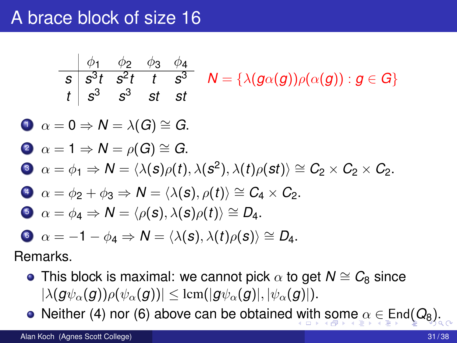### A brace block of size 16

$$
\begin{array}{c|ccccc}\n&\phi_1 & \phi_2 & \phi_3 & \phi_4 \\
\hline\ns & s^3t & s^2t & t & s^3 & N = \{\lambda(g\alpha(g))\rho(\alpha(g)) : g \in G\} \\
t & s^3 & s^3 & st & st\n\end{array}
$$

$$
0 \ \alpha = 0 \Rightarrow N = \lambda(G) \cong G.
$$

**3** 
$$
\alpha = 1 \Rightarrow N = \rho(G) \cong G.
$$
  
\n**3**  $\alpha = \phi_1 \Rightarrow N = \langle \lambda(s)\rho(t), \lambda(s^2), \lambda(t)\rho(st) \rangle \cong C_2 \times C_2 \times C_2.$ 

$$
\bullet \ \alpha = \phi_2 + \phi_3 \Rightarrow N = \langle \lambda(s), \rho(t) \rangle \cong C_4 \times C_2.
$$

$$
\bullet \ \alpha = \phi_{4} \Rightarrow N = \langle \rho(\mathbf{s}), \lambda(\mathbf{s})\rho(t) \rangle \cong D_{4}.
$$

$$
\bullet \ \alpha = -1 - \phi_4 \Rightarrow N = \langle \lambda(s), \lambda(t) \rho(s) \rangle \cong D_4.
$$

Remarks.

- This block is maximal: we cannot pick  $\alpha$  to get  $N \cong C_8$  since  $|\lambda(g\psi_\alpha(g))\rho(\psi_\alpha(g))|\leq \text{lcm}(|g\psi_\alpha(g)|, |\psi_\alpha(g)|).$
- Neither (4) nor (6) above can be obtained with some  $\alpha \in \text{End}(Q_8)$ .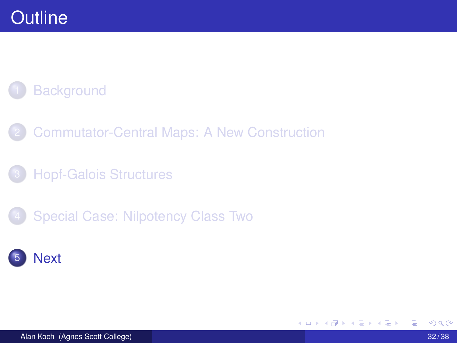### **Background**

- 2 Commutator-Central Maps: A New Construction
- **Hopf-Galois Structures**
- Special Case: Nilpotency Class Two

### **Next**

K ロ ▶ K 御 ▶ K 君 ▶ K 君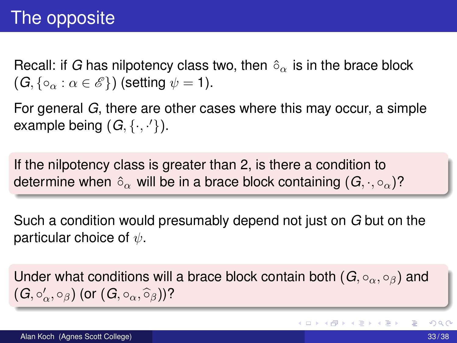### The opposite

Recall: if *G* has nilpotency class two, then  $\delta_{\alpha}$  is in the brace block  $(G, \{ \circ_{\alpha} : \alpha \in \mathscr{E} \})$  (setting  $\psi = 1$ ).

For general *G*, there are other cases where this may occur, a simple example being  $(G, \{\cdot, \cdot'\})$ .

If the nilpotency class is greater than 2, is there a condition to determine when  $\delta_{\alpha}$  will be in a brace block containing  $(G, \cdot, \circ_{\alpha})$ ?

Such a condition would presumably depend not just on *G* but on the particular choice of  $\psi$ .

Under what conditions will a brace block contain both  $(G, \circ_{\alpha}, \circ_{\beta})$  and  $(G, \circ'_{\alpha}, \circ_{\beta})$  (or  $(G, \circ_{\alpha}, \widehat{\circ}_{\beta})$ )?

**K ロメ K 御 メ K 君 メ K 君 X**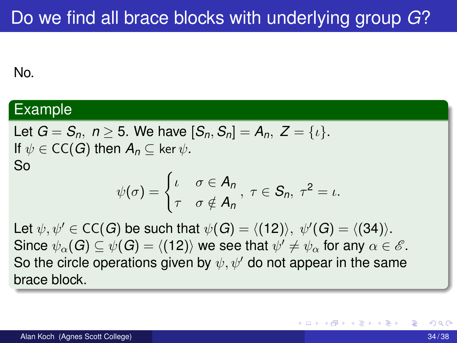#### No.

#### Example

Let 
$$
G = S_n
$$
,  $n \ge 5$ . We have  $[S_n, S_n] = A_n$ ,  $Z = \{i\}$ .  
If  $\psi \in CC(G)$  then  $A_n \subseteq \ker \psi$ .  
So

$$
\psi(\sigma)=\begin{cases} \iota & \sigma\in A_n \\ \tau & \sigma\notin A_n \end{cases}, \ \tau\in S_n, \ \tau^2=\iota.
$$

Let  $\psi, \psi' \in \mathsf{CC}(G)$  be such that  $\psi(G) = \langle (12) \rangle, \ \psi'(G) = \langle (34) \rangle.$ Since  $\psi_{\alpha}(G) \subseteq \psi(G) = \langle (12) \rangle$  we see that  $\psi' \neq \psi_{\alpha}$  for any  $\alpha \in \mathscr{E}$ . So the circle operations given by  $\psi, \psi'$  do not appear in the same brace block.

 $\mathbf{A} \oplus \mathbf{B}$   $\mathbf{A} \oplus \mathbf{B}$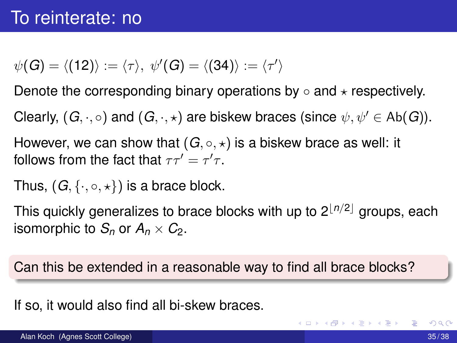$$
\psi(G) = \langle (12) \rangle := \langle \tau \rangle, \ \psi'(G) = \langle (34) \rangle := \langle \tau' \rangle
$$

Denote the corresponding binary operations by  $\circ$  and  $\star$  respectively.

Clearly,  $(G, \cdot, \circ)$  and  $(G, \cdot, \star)$  are biskew braces (since  $\psi, \psi' \in Ab(G)$ ).

However, we can show that  $(G, \circ, \star)$  is a biskew brace as well: it follows from the fact that  $\tau\tau'=\tau'\tau.$ 

Thus,  $(G, \{ \cdot, \circ, \star \})$  is a brace block.

This quickly generalizes to brace blocks with up to  $2^{\lfloor n/2 \rfloor}$  groups, each isomorphic to  $S_n$  or  $A_n \times C_2$ .

Can this be extended in a reasonable way to find all brace blocks?

If so, it would also find all bi-skew braces.

**K ロメ K 御 メ K 君 メ K 君 X**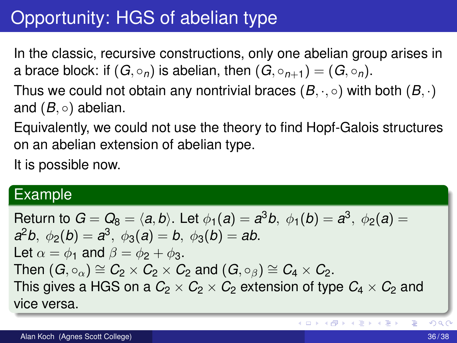# Opportunity: HGS of abelian type

In the classic, recursive constructions, only one abelian group arises in a brace block: if  $(G, \circ_n)$  is abelian, then  $(G, \circ_{n+1})=(G, \circ_n)$ .

Thus we could not obtain any nontrivial braces  $(B, \cdot, \circ)$  with both  $(B, \cdot)$ and  $(B, \circ)$  abelian.

Equivalently, we could not use the theory to find Hopf-Galois structures on an abelian extension of abelian type.

It is possible now.

#### Example

Return to  $G = Q_8 = \langle a, b \rangle$ . Let  $\phi_1(a) = a^3b, \ \phi_1(b) = a^3, \ \phi_2(a) =$  $a^2b$ ,  $\phi_2(b) = a^3$ ,  $\phi_3(a) = b$ ,  $\phi_3(b) = ab$ . Let  $\alpha = \phi_1$  and  $\beta = \phi_2 + \phi_3$ . Then  $(G, \circ_{\alpha}) \cong C_2 \times C_2 \times C_2$  and  $(G, \circ_{\beta}) \cong C_4 \times C_2$ . This gives a HGS on a  $C_2 \times C_2 \times C_2$  extension of type  $C_4 \times C_2$  and vice versa.

∍

K ロ ⊁ K 倒 ≯ K 君 ⊁ K 君 ⊁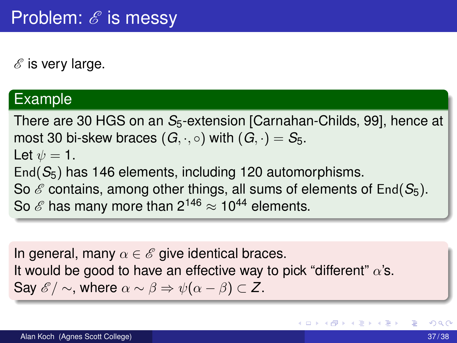*E* is very large.

#### Example

There are 30 HGS on an *S*<sub>5</sub>-extension [Carnahan-Childs, 99], hence at most 30 bi-skew braces  $(G, \cdot, \circ)$  with  $(G, \cdot) = S_5$ . Let  $\psi = 1$ . End(*S*5) has 146 elements, including 120 automorphisms. So  $\mathscr E$  contains, among other things, all sums of elements of End( $S_5$ ). So  $\mathscr E$  has many more than  $2^{146} \approx 10^{44}$  elements.

In general, many  $\alpha \in \mathscr{E}$  give identical braces. It would be good to have an effective way to pick "different"  $\alpha$ 's. Say  $\mathscr{E}/\sim$ , where  $\alpha \sim \beta \Rightarrow \psi(\alpha - \beta) \subset Z$ .

イロト イ御 トイ君 トイ君